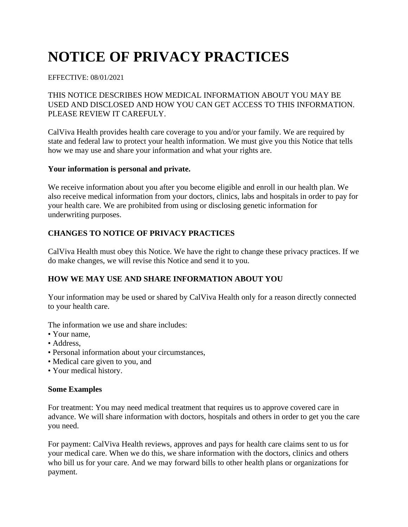# **NOTICE OF PRIVACY PRACTICES**

#### EFFECTIVE: 08/01/2021

# THIS NOTICE DESCRIBES HOW MEDICAL INFORMATION ABOUT YOU MAY BE USED AND DISCLOSED AND HOW YOU CAN GET ACCESS TO THIS INFORMATION. PLEASE REVIEW IT CAREFULY.

CalViva Health provides health care coverage to you and/or your family. We are required by state and federal law to protect your health information. We must give you this Notice that tells how we may use and share your information and what your rights are.

#### **Your information is personal and private.**

We receive information about you after you become eligible and enroll in our health plan. We also receive medical information from your doctors, clinics, labs and hospitals in order to pay for your health care. We are prohibited from using or disclosing genetic information for underwriting purposes.

# **CHANGES TO NOTICE OF PRIVACY PRACTICES**

CalViva Health must obey this Notice. We have the right to change these privacy practices. If we do make changes, we will revise this Notice and send it to you.

# **HOW WE MAY USE AND SHARE INFORMATION ABOUT YOU**

Your information may be used or shared by CalViva Health only for a reason directly connected to your health care.

The information we use and share includes:

- Your name,
- Address,
- Personal information about your circumstances,
- Medical care given to you, and
- Your medical history.

#### **Some Examples**

For treatment: You may need medical treatment that requires us to approve covered care in advance. We will share information with doctors, hospitals and others in order to get you the care you need.

For payment: CalViva Health reviews, approves and pays for health care claims sent to us for your medical care. When we do this, we share information with the doctors, clinics and others who bill us for your care. And we may forward bills to other health plans or organizations for payment.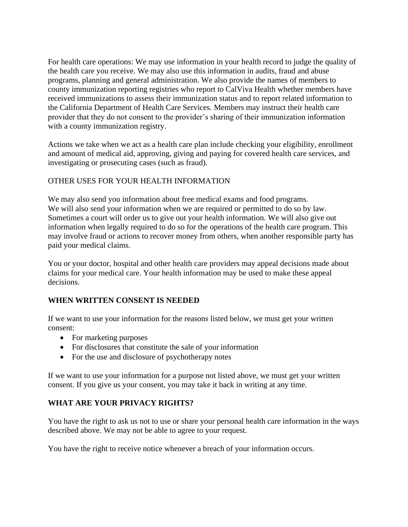For health care operations: We may use information in your health record to judge the quality of the health care you receive. We may also use this information in audits, fraud and abuse programs, planning and general administration. We also provide the names of members to county immunization reporting registries who report to CalViva Health whether members have received immunizations to assess their immunization status and to report related information to the California Department of Health Care Services. Members may instruct their health care provider that they do not consent to the provider's sharing of their immunization information with a county immunization registry.

Actions we take when we act as a health care plan include checking your eligibility, enrollment and amount of medical aid, approving, giving and paying for covered health care services, and investigating or prosecuting cases (such as fraud).

# OTHER USES FOR YOUR HEALTH INFORMATION

We may also send you information about free medical exams and food programs. We will also send your information when we are required or permitted to do so by law. Sometimes a court will order us to give out your health information. We will also give out information when legally required to do so for the operations of the health care program. This may involve fraud or actions to recover money from others, when another responsible party has paid your medical claims.

You or your doctor, hospital and other health care providers may appeal decisions made about claims for your medical care. Your health information may be used to make these appeal decisions.

## **WHEN WRITTEN CONSENT IS NEEDED**

If we want to use your information for the reasons listed below, we must get your written consent:

- For marketing purposes
- For disclosures that constitute the sale of your information
- For the use and disclosure of psychotherapy notes

If we want to use your information for a purpose not listed above, we must get your written consent. If you give us your consent, you may take it back in writing at any time.

# **WHAT ARE YOUR PRIVACY RIGHTS?**

You have the right to ask us not to use or share your personal health care information in the ways described above. We may not be able to agree to your request.

You have the right to receive notice whenever a breach of your information occurs.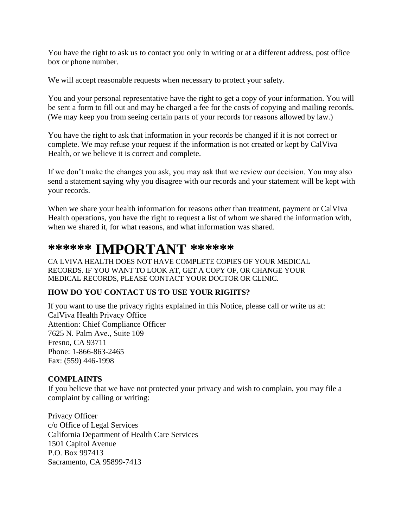You have the right to ask us to contact you only in writing or at a different address, post office box or phone number.

We will accept reasonable requests when necessary to protect your safety.

You and your personal representative have the right to get a copy of your information. You will be sent a form to fill out and may be charged a fee for the costs of copying and mailing records. (We may keep you from seeing certain parts of your records for reasons allowed by law.)

You have the right to ask that information in your records be changed if it is not correct or complete. We may refuse your request if the information is not created or kept by CalViva Health, or we believe it is correct and complete.

If we don't make the changes you ask, you may ask that we review our decision. You may also send a statement saying why you disagree with our records and your statement will be kept with your records.

When we share your health information for reasons other than treatment, payment or CalViva Health operations, you have the right to request a list of whom we shared the information with, when we shared it, for what reasons, and what information was shared.

# **\*\*\*\*\*\* IMPORTANT \*\*\*\*\*\***

CA LVIVA HEALTH DOES NOT HAVE COMPLETE COPIES OF YOUR MEDICAL RECORDS. IF YOU WANT TO LOOK AT, GET A COPY OF, OR CHANGE YOUR MEDICAL RECORDS, PLEASE CONTACT YOUR DOCTOR OR CLINIC.

## **HOW DO YOU CONTACT US TO USE YOUR RIGHTS?**

If you want to use the privacy rights explained in this Notice, please call or write us at: CalViva Health Privacy Office Attention: Chief Compliance Officer 7625 N. Palm Ave., Suite 109 Fresno, CA 93711 Phone: 1-866-863-2465 Fax: (559) 446-1998

## **COMPLAINTS**

If you believe that we have not protected your privacy and wish to complain, you may file a complaint by calling or writing:

Privacy Officer c/o Office of Legal Services California Department of Health Care Services 1501 Capitol Avenue P.O. Box 997413 Sacramento, CA 95899-7413